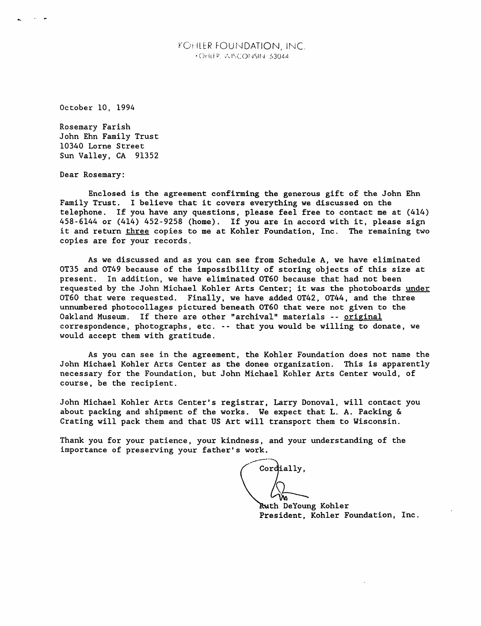## KOrHER FOUNDATION, INC. •Orilfp. -AlSCOrsiSII-sl 63044

October 10, 1994

Rosemary Parish John Ehn Family Trust 10340 Lorne Street Sun Valley, CA 91352

Dear Rosemary:

Enclosed is the agreement confirming the generous gift of the John Ehn Family Trust. I believe that it covers everything we discussed on the te lephone. If you have any questions, please feel free to contact me at (414)  $458 - 6144$  or (414)  $452 - 9258$  (home). If you are in accord with it, please sign it and return three copies to me at Kohler Foundation, Inc. The remaining two copies are for your records.

As we discussed and as you can see from Schedule A, we have eliminated OT35 and OT49 because of the impossibility of storing objects of this size at present. In addition, we have eliminated OT60 because that had not been requested by the John Michael Kohler Arts Center; it was the photoboards under 0T60 that were requested. Finally, we have added 0T42, 0T44, and the three unnumbered photocollages pictured beneath OT60 that were not given to the Uakland Museum. It there are other "archival" materials -- <u>original</u> correspondence, pnotograpns, etc. -- that you would be willing to donate, we would accept them with gratitude.

As you can see in the agreement, the Kohler Foundation does not name the John Michael Kohler Arts Center as the donee organization. This is apparently necessary for the Foundation, but John Michael Kohler Arts Center would, of course, be the recipient.

John Michael Kohler Arts Center's registrar, Larry Donoval, will contact you about packing and shipment of the works. We expect that L. A. Packing  $\&$ Crating will pack them and that US Art will transport them to Wisconsin.

Thank you for your patience, your kindness, and your understanding of the importance of preserving your father's work.

ordially,

Ruth DeYoung Kohler President, Kohler Foundation, Inc.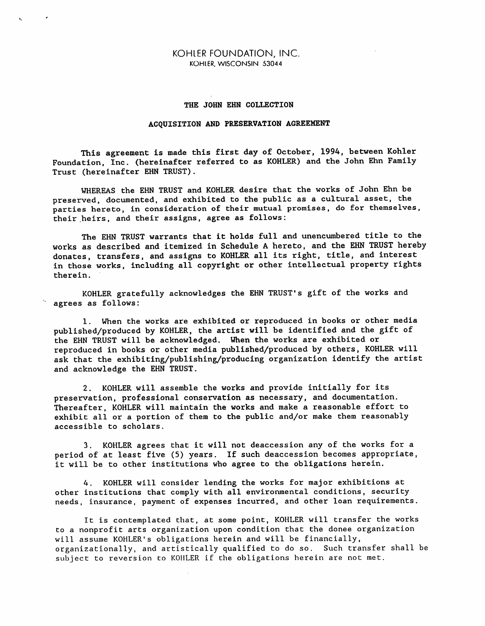## KOHLER FOUNDATION, INC. KOHIER, WISCONSIN 53044

## THE JOHN EHN COLLECTION

## ACQUISITION AND PRESERVATION AGREEMENT

This agreement is made this first day of October, 1994, between Kohler Foundation, Inc. (hereinafter referred to as KOHLER) and the John Ehn Family Trust (hereinafter EHN TRUST).

WHEREAS the EHN TRUST and KOHLER desire that the works of John Ehn be preserved, documented, and exhibited to the public as a cultural asset, the parties hereto, in consideration of their mutual promises, do for themselves, their heirs, and their assigns, agree as follows:

The EHN TRUST warrants that it holds full and unencumbered title to the works as described and itemized in Schedule A hereto, and the EHN TRUST hereby donates, transfers, and assigns to KOHLER all its right, title, and interest in those works, including all copyright or other intellectual property rights therein.

KOHLER gratefully acknowledges the EHN TRUST'S gift of the works and agrees as follows:

1. When the works are exhibited or reproduced in books or other media published/produced by KOHLER, the artist will be identified and the gift of the EHN TRUST will be acknowledged. When the works are exhibited or reproduced in books or other media published/produced by others, KOHLER will ask that the exhibiting/publishing/producing organization identify the artist and acknowledge the EHN TRUST.

2. KOHLER will assemble the works and provide initially for its preservation, professional conservation as necessary, and documentation. Thereafter, KOHLER will maintain the works and make a reasonable effort to exhibit all or a portion of them to the public and/or make them reasonably accessible to scholars.

3. KOHLER agrees that it will not deaccession any of the works for a period of at least five (5) years. If such deaccession becomes appropriate, it will be to other institutions who agree to the obligations herein.

4. KOHLER will consider lending the works for major exhibitions at other institutions that comply with all environmental conditions, security needs, insurance, payment of expenses incurred, and other loan requirements.

It is contemplated that, at some point, KOHLER will transfer the works to a nonprofit arts organization upon condition that the donee organization will assume KOHLER's obligations herein and will be financially, organizationally, and artistically qualified to do so. Such transfer shall be subject to reversion to KOHLER if the obligations herein are not met.